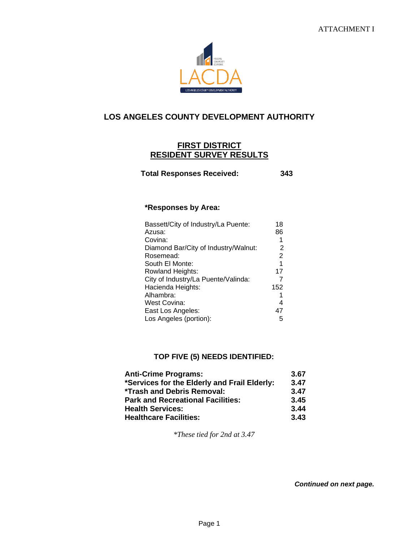

## **LOS ANGELES COUNTY DEVELOPMENT AUTHORITY**

## **FIRST DISTRICT RESIDENT SURVEY RESULTS**

 **Total Responses Received: 343**

## **\*Responses by Area:**

| Bassett/City of Industry/La Puente:  | 18             |
|--------------------------------------|----------------|
| Azusa:                               | 86             |
| Covina:                              | 1              |
| Diamond Bar/City of Industry/Walnut: | 2              |
| Rosemead:                            | $\overline{2}$ |
| South El Monte:                      | 1              |
| Rowland Heights:                     | 17             |
| City of Industry/La Puente/Valinda:  | 7              |
| Hacienda Heights:                    | 152            |
| Alhambra:                            | 1              |
| West Covina:                         | 4              |
| East Los Angeles:                    | 47             |
| Los Angeles (portion):               | 5              |

## **TOP FIVE (5) NEEDS IDENTIFIED:**

| <b>Anti-Crime Programs:</b>                  | 3.67 |
|----------------------------------------------|------|
| *Services for the Elderly and Frail Elderly: | 3.47 |
| *Trash and Debris Removal:                   | 3.47 |
| <b>Park and Recreational Facilities:</b>     | 3.45 |
| <b>Health Services:</b>                      | 3.44 |
| <b>Healthcare Facilities:</b>                | 3.43 |

*\*These tied for 2nd at 3.47*

*Continued on next page.*